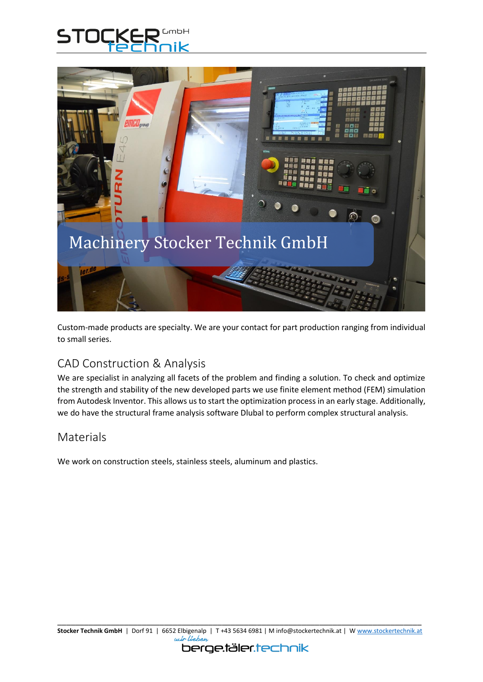



Custom-made products are specialty. We are your contact for part production ranging from individual to small series.

## CAD Construction & Analysis

We are specialist in analyzing all facets of the problem and finding a solution. To check and optimize the strength and stability of the new developed parts we use finite element method (FEM) simulation from Autodesk Inventor. This allows us to start the optimization process in an early stage. Additionally, we do have the structural frame analysis software Dlubal to perform complex structural analysis.

## Materials

We work on construction steels, stainless steels, aluminum and plastics.

#### berge.täler.technik